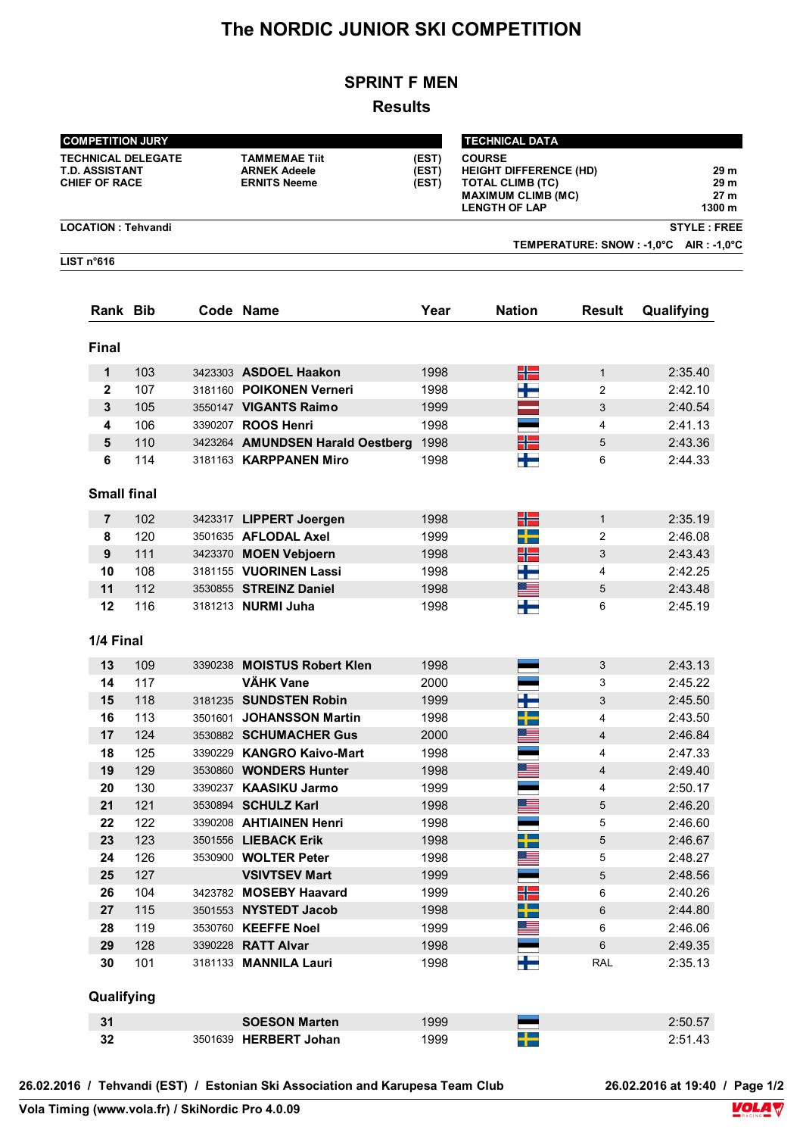# **The NORDIC JUNIOR SKI COMPETITION**

# **SPRINT F MEN**

# **Results**

| <b>COMPETITION JURY</b>                                             |            |  |                                                                                               | <b>TECHNICAL DATA</b> |                                                                                                                                |                    |                                |  |  |  |  |
|---------------------------------------------------------------------|------------|--|-----------------------------------------------------------------------------------------------|-----------------------|--------------------------------------------------------------------------------------------------------------------------------|--------------------|--------------------------------|--|--|--|--|
| <b>TECHNICAL DELEGATE</b><br>T.D. ASSISTANT<br><b>CHIEF OF RACE</b> |            |  | <b>TAMMEMAE Tiit</b><br>(EST)<br><b>ARNEK Adeele</b><br>(EST)<br><b>ERNITS Neeme</b><br>(EST) |                       | <b>COURSE</b><br><b>HEIGHT DIFFERENCE (HD)</b><br><b>TOTAL CLIMB (TC)</b><br><b>MAXIMUM CLIMB (MC)</b><br><b>LENGTH OF LAP</b> |                    | 29 m<br>29 m<br>27 m<br>1300 m |  |  |  |  |
| <b>LOCATION: Tehvandi</b>                                           |            |  |                                                                                               |                       |                                                                                                                                | <b>STYLE: FREE</b> |                                |  |  |  |  |
| TEMPERATURE: SNOW : -1,0°C AIR : -1,0°C<br>LIST n°616               |            |  |                                                                                               |                       |                                                                                                                                |                    |                                |  |  |  |  |
|                                                                     |            |  |                                                                                               |                       |                                                                                                                                |                    |                                |  |  |  |  |
| <b>Rank Bib</b>                                                     |            |  | Code Name                                                                                     | Year                  | <b>Nation</b>                                                                                                                  | Result             | Qualifying                     |  |  |  |  |
| <b>Final</b>                                                        |            |  |                                                                                               |                       |                                                                                                                                |                    |                                |  |  |  |  |
| 1                                                                   | 103        |  | 3423303 ASDOEL Haakon                                                                         | 1998                  | HH                                                                                                                             | $\mathbf{1}$       | 2:35.40                        |  |  |  |  |
| $\mathbf{2}$                                                        | 107        |  | 3181160 POIKONEN Verneri                                                                      | 1998                  | ۲F                                                                                                                             | $\overline{2}$     | 2:42.10                        |  |  |  |  |
| 3                                                                   | 105        |  | 3550147 VIGANTS Raimo                                                                         | 1999                  |                                                                                                                                | 3                  | 2:40.54                        |  |  |  |  |
| 4                                                                   | 106        |  | 3390207 ROOS Henri                                                                            | 1998                  |                                                                                                                                | 4                  | 2:41.13                        |  |  |  |  |
| 5                                                                   | 110        |  | 3423264 AMUNDSEN Harald Oestberg                                                              | 1998                  | ╉┝═                                                                                                                            | 5                  | 2:43.36                        |  |  |  |  |
| 6                                                                   | 114        |  | 3181163 <b>KARPPANEN Miro</b>                                                                 | 1998                  | ╈                                                                                                                              | 6                  | 2:44.33                        |  |  |  |  |
| <b>Small final</b>                                                  |            |  |                                                                                               |                       |                                                                                                                                |                    |                                |  |  |  |  |
|                                                                     | 102        |  |                                                                                               | 1998                  |                                                                                                                                |                    |                                |  |  |  |  |
| $\overline{7}$                                                      | 120        |  | 3423317 LIPPERT Joergen<br>3501635 AFLODAL Axel                                               | 1999                  | 52                                                                                                                             | $\mathbf{1}$       | 2:35.19<br>2:46.08             |  |  |  |  |
| 8                                                                   |            |  |                                                                                               |                       | - -                                                                                                                            | 2                  |                                |  |  |  |  |
| 9                                                                   | 111        |  | 3423370 MOEN Vebjoern                                                                         | 1998                  | ╉═                                                                                                                             | 3                  | 2:43.43                        |  |  |  |  |
| 10                                                                  | 108        |  | 3181155 VUORINEN Lassi                                                                        | 1998                  | ╪═<br>▓▆▅                                                                                                                      | 4                  | 2:42.25                        |  |  |  |  |
| 11<br>12                                                            | 112<br>116 |  | 3530855 STREINZ Daniel<br>3181213 NURMI Juha                                                  | 1998<br>1998          | ╈═                                                                                                                             | 5<br>6             | 2:43.48<br>2:45.19             |  |  |  |  |
| 1/4 Final                                                           |            |  |                                                                                               |                       |                                                                                                                                |                    |                                |  |  |  |  |
| 13                                                                  | 109        |  | 3390238 MOISTUS Robert Klen                                                                   | 1998                  |                                                                                                                                | 3                  | 2:43.13                        |  |  |  |  |
| 14                                                                  | 117        |  | <b>VÄHK Vane</b>                                                                              | 2000                  |                                                                                                                                | 3                  | 2:45.22                        |  |  |  |  |
| 15                                                                  | 118        |  | 3181235 SUNDSTEN Robin                                                                        | 1999                  |                                                                                                                                | 3                  | 2:45.50                        |  |  |  |  |
| 16                                                                  | 113        |  | 3501601 JOHANSSON Martin                                                                      | 1998                  |                                                                                                                                | 4                  | 2:43.50                        |  |  |  |  |
| 17                                                                  | 124        |  | 3530882 SCHUMACHER Gus                                                                        | 2000                  |                                                                                                                                | 4                  | 2:46.84                        |  |  |  |  |
| 18                                                                  | 125        |  | 3390229 KANGRO Kaivo-Mart                                                                     | 1998                  |                                                                                                                                | 4                  | 2:47.33                        |  |  |  |  |
| 19                                                                  | 129        |  | 3530860 WONDERS Hunter                                                                        | 1998                  |                                                                                                                                | 4                  | 2:49.40                        |  |  |  |  |
| 20                                                                  | 130        |  | 3390237 KAASIKU Jarmo                                                                         | 1999                  |                                                                                                                                | 4                  | 2:50.17                        |  |  |  |  |
| 21                                                                  | 121        |  | 3530894 SCHULZ Karl                                                                           | 1998                  | ▀                                                                                                                              | 5                  | 2:46.20                        |  |  |  |  |
| 22                                                                  | 122        |  | 3390208 AHTIAINEN Henri                                                                       | 1998                  |                                                                                                                                | 5                  | 2:46.60                        |  |  |  |  |
| 23                                                                  | 123        |  | 3501556 LIEBACK Erik                                                                          | 1998                  | ╅                                                                                                                              | 5                  | 2:46.67                        |  |  |  |  |
| 24                                                                  | 126        |  | 3530900 WOLTER Peter                                                                          | 1998                  |                                                                                                                                | 5                  | 2:48.27                        |  |  |  |  |
| 25                                                                  | 127        |  | <b>VSIVTSEV Mart</b>                                                                          | 1999                  |                                                                                                                                | 5                  | 2:48.56                        |  |  |  |  |
| 26                                                                  | 104        |  | 3423782 MOSEBY Haavard                                                                        | 1999                  | ╬                                                                                                                              | 6                  | 2:40.26                        |  |  |  |  |
| 27                                                                  | 115        |  | 3501553 NYSTEDT Jacob                                                                         | 1998                  |                                                                                                                                | 6                  | 2:44.80                        |  |  |  |  |
| 28                                                                  | 119        |  | 3530760 KEEFFE Noel                                                                           | 1999                  |                                                                                                                                | 6                  | 2:46.06                        |  |  |  |  |
| 29                                                                  | 128        |  | 3390228 RATT Alvar                                                                            | 1998                  |                                                                                                                                | 6                  | 2:49.35                        |  |  |  |  |
| 30                                                                  | 101        |  | 3181133 MANNILA Lauri                                                                         | 1998                  | ۲E                                                                                                                             | RAL                | 2:35.13                        |  |  |  |  |
| Qualifying                                                          |            |  |                                                                                               |                       |                                                                                                                                |                    |                                |  |  |  |  |
| 31                                                                  |            |  | <b>SOESON Marten</b>                                                                          | 1999                  |                                                                                                                                |                    | 2:50.57                        |  |  |  |  |
| 32                                                                  |            |  | 3501639 HERBERT Johan                                                                         | 1999                  | ┿═                                                                                                                             |                    | 2:51.43                        |  |  |  |  |

**26.02.2016 / Tehvandi (EST) / Estonian Ski Association and Karupesa Team Club 26.02.2016 at 19:40 / Page 1/2**